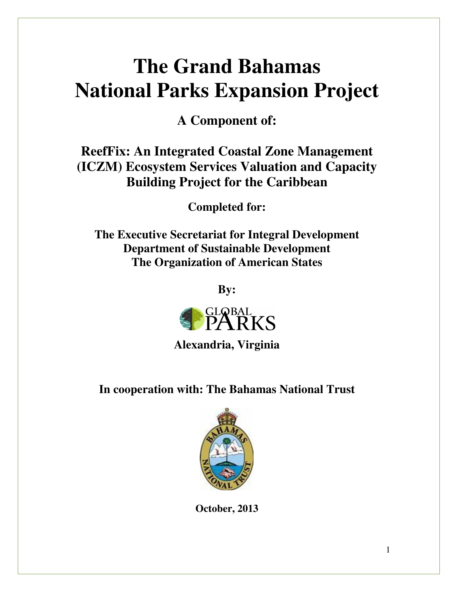# **The Grand Bahamas National Parks Expansion Project**

**A Component of:** 

# **ReefFix: An Integrated Coastal Zone Management (ICZM) Ecosystem Services Valuation and Capacity Building Project for the Caribbean**

**Completed for:** 

**The Executive Secretariat for Integral Development Department of Sustainable Development The Organization of American States** 

**By:** 



**Alexandria, Virginia** 

**In cooperation with: The Bahamas National Trust** 



**October, 2013**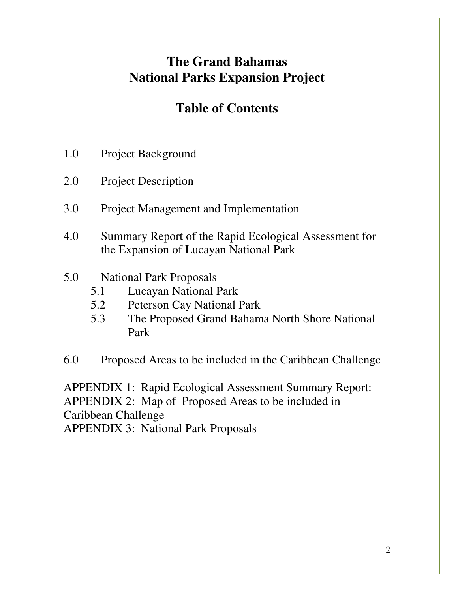# **The Grand Bahamas National Parks Expansion Project**

# **Table of Contents**

- 1.0 Project Background
- 2.0 Project Description
- 3.0 Project Management and Implementation
- 4.0 Summary Report of the Rapid Ecological Assessment for the Expansion of Lucayan National Park
- 5.0 National Park Proposals
	- 5.1 Lucayan National Park
	- 5.2 Peterson Cay National Park
	- 5.3 The Proposed Grand Bahama North Shore National Park
- 6.0 Proposed Areas to be included in the Caribbean Challenge

APPENDIX 1: Rapid Ecological Assessment Summary Report: APPENDIX 2: Map of Proposed Areas to be included in Caribbean Challenge APPENDIX 3: National Park Proposals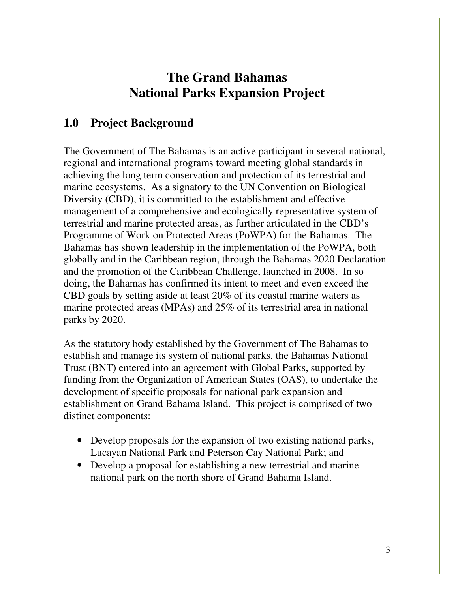# **The Grand Bahamas National Parks Expansion Project**

#### **1.0 Project Background**

The Government of The Bahamas is an active participant in several national, regional and international programs toward meeting global standards in achieving the long term conservation and protection of its terrestrial and marine ecosystems. As a signatory to the UN Convention on Biological Diversity (CBD), it is committed to the establishment and effective management of a comprehensive and ecologically representative system of terrestrial and marine protected areas, as further articulated in the CBD's Programme of Work on Protected Areas (PoWPA) for the Bahamas. The Bahamas has shown leadership in the implementation of the PoWPA, both globally and in the Caribbean region, through the Bahamas 2020 Declaration and the promotion of the Caribbean Challenge, launched in 2008. In so doing, the Bahamas has confirmed its intent to meet and even exceed the CBD goals by setting aside at least 20% of its coastal marine waters as marine protected areas (MPAs) and 25% of its terrestrial area in national parks by 2020.

As the statutory body established by the Government of The Bahamas to establish and manage its system of national parks, the Bahamas National Trust (BNT) entered into an agreement with Global Parks, supported by funding from the Organization of American States (OAS), to undertake the development of specific proposals for national park expansion and establishment on Grand Bahama Island. This project is comprised of two distinct components:

- Develop proposals for the expansion of two existing national parks, Lucayan National Park and Peterson Cay National Park; and
- Develop a proposal for establishing a new terrestrial and marine national park on the north shore of Grand Bahama Island.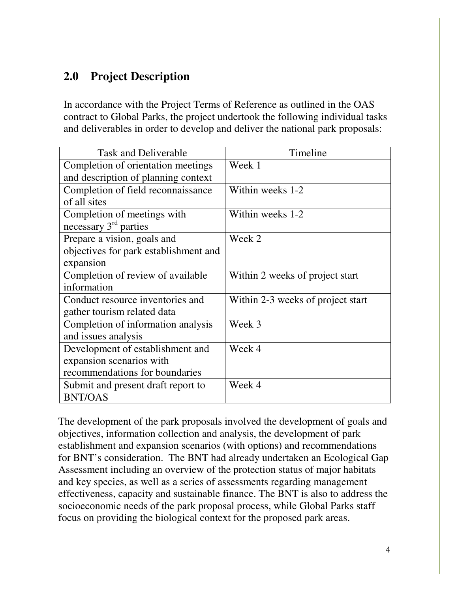## **2.0 Project Description**

In accordance with the Project Terms of Reference as outlined in the OAS contract to Global Parks, the project undertook the following individual tasks and deliverables in order to develop and deliver the national park proposals:

| <b>Task and Deliverable</b>           | Timeline                          |
|---------------------------------------|-----------------------------------|
| Completion of orientation meetings    | Week 1                            |
| and description of planning context   |                                   |
| Completion of field reconnaissance    | Within weeks 1-2                  |
| of all sites                          |                                   |
| Completion of meetings with           | Within weeks 1-2                  |
| necessary $3rd$ parties               |                                   |
| Prepare a vision, goals and           | Week 2                            |
| objectives for park establishment and |                                   |
| expansion                             |                                   |
| Completion of review of available     | Within 2 weeks of project start   |
| information                           |                                   |
| Conduct resource inventories and      | Within 2-3 weeks of project start |
| gather tourism related data           |                                   |
| Completion of information analysis    | Week 3                            |
| and issues analysis                   |                                   |
| Development of establishment and      | Week 4                            |
| expansion scenarios with              |                                   |
| recommendations for boundaries        |                                   |
| Submit and present draft report to    | Week 4                            |
| <b>BNT/OAS</b>                        |                                   |

The development of the park proposals involved the development of goals and objectives, information collection and analysis, the development of park establishment and expansion scenarios (with options) and recommendations for BNT's consideration. The BNT had already undertaken an Ecological Gap Assessment including an overview of the protection status of major habitats and key species, as well as a series of assessments regarding management effectiveness, capacity and sustainable finance. The BNT is also to address the socioeconomic needs of the park proposal process, while Global Parks staff focus on providing the biological context for the proposed park areas.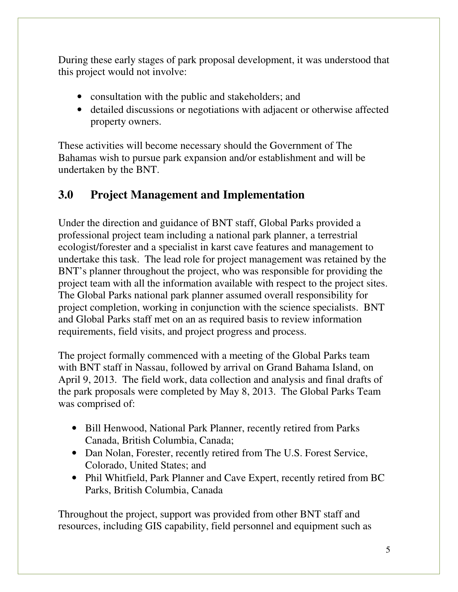During these early stages of park proposal development, it was understood that this project would not involve:

- consultation with the public and stakeholders; and
- detailed discussions or negotiations with adjacent or otherwise affected property owners.

These activities will become necessary should the Government of The Bahamas wish to pursue park expansion and/or establishment and will be undertaken by the BNT.

## **3.0 Project Management and Implementation**

Under the direction and guidance of BNT staff, Global Parks provided a professional project team including a national park planner, a terrestrial ecologist/forester and a specialist in karst cave features and management to undertake this task. The lead role for project management was retained by the BNT's planner throughout the project, who was responsible for providing the project team with all the information available with respect to the project sites. The Global Parks national park planner assumed overall responsibility for project completion, working in conjunction with the science specialists. BNT and Global Parks staff met on an as required basis to review information requirements, field visits, and project progress and process.

The project formally commenced with a meeting of the Global Parks team with BNT staff in Nassau, followed by arrival on Grand Bahama Island, on April 9, 2013. The field work, data collection and analysis and final drafts of the park proposals were completed by May 8, 2013. The Global Parks Team was comprised of:

- Bill Henwood, National Park Planner, recently retired from Parks Canada, British Columbia, Canada;
- Dan Nolan, Forester, recently retired from The U.S. Forest Service, Colorado, United States; and
- Phil Whitfield, Park Planner and Cave Expert, recently retired from BC Parks, British Columbia, Canada

Throughout the project, support was provided from other BNT staff and resources, including GIS capability, field personnel and equipment such as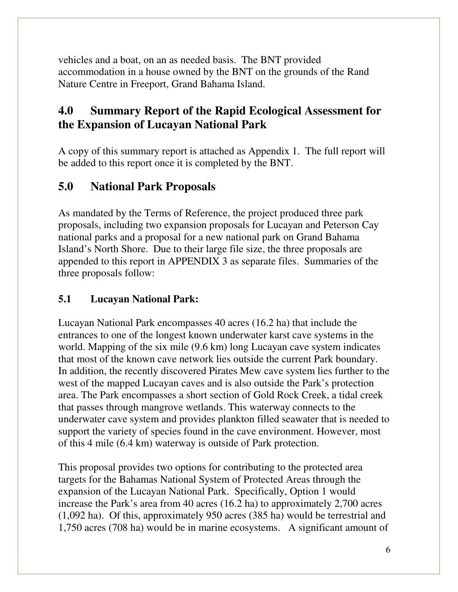vehicles and a boat, on an as needed basis. The BNT provided accommodation in a house owned by the BNT on the grounds of the Rand Nature Centre in Freeport, Grand Bahama Island.

### **4.0 Summary Report of the Rapid Ecological Assessment for the Expansion of Lucayan National Park**

A copy of this summary report is attached as Appendix 1. The full report will be added to this report once it is completed by the BNT.

#### **5.0 National Park Proposals**

As mandated by the Terms of Reference, the project produced three park proposals, including two expansion proposals for Lucayan and Peterson Cay national parks and a proposal for a new national park on Grand Bahama Island's North Shore. Due to their large file size, the three proposals are appended to this report in APPENDIX 3 as separate files. Summaries of the three proposals follow:

#### **5.1 Lucayan National Park:**

Lucayan National Park encompasses 40 acres (16.2 ha) that include the entrances to one of the longest known underwater karst cave systems in the world. Mapping of the six mile (9.6 km) long Lucayan cave system indicates that most of the known cave network lies outside the current Park boundary. In addition, the recently discovered Pirates Mew cave system lies further to the west of the mapped Lucayan caves and is also outside the Park's protection area. The Park encompasses a short section of Gold Rock Creek, a tidal creek that passes through mangrove wetlands. This waterway connects to the underwater cave system and provides plankton filled seawater that is needed to support the variety of species found in the cave environment. However, most of this 4 mile (6.4 km) waterway is outside of Park protection.

This proposal provides two options for contributing to the protected area targets for the Bahamas National System of Protected Areas through the expansion of the Lucayan National Park. Specifically, Option 1 would increase the Park's area from 40 acres (16.2 ha) to approximately 2,700 acres (1,092 ha). Of this, approximately 950 acres (385 ha) would be terrestrial and 1,750 acres (708 ha) would be in marine ecosystems. A significant amount of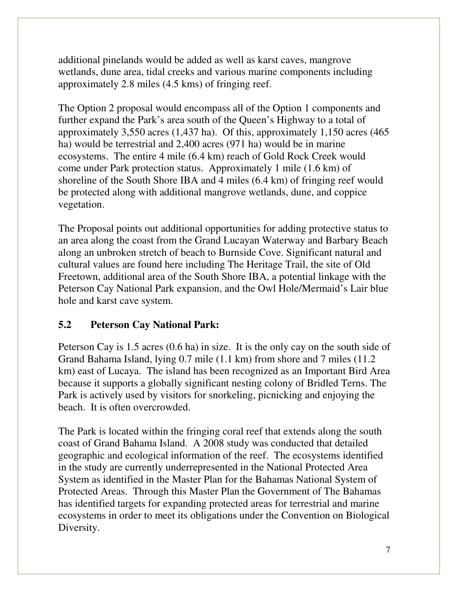additional pinelands would be added as well as karst caves, mangrove wetlands, dune area, tidal creeks and various marine components including approximately 2.8 miles (4.5 kms) of fringing reef.

The Option 2 proposal would encompass all of the Option 1 components and further expand the Park's area south of the Queen's Highway to a total of approximately 3,550 acres (1,437 ha). Of this, approximately 1,150 acres (465 ha) would be terrestrial and 2,400 acres (971 ha) would be in marine ecosystems. The entire 4 mile (6.4 km) reach of Gold Rock Creek would come under Park protection status. Approximately 1 mile (1.6 km) of shoreline of the South Shore IBA and 4 miles (6.4 km) of fringing reef would be protected along with additional mangrove wetlands, dune, and coppice vegetation.

The Proposal points out additional opportunities for adding protective status to an area along the coast from the Grand Lucayan Waterway and Barbary Beach along an unbroken stretch of beach to Burnside Cove. Significant natural and cultural values are found here including The Heritage Trail, the site of Old Freetown, additional area of the South Shore IBA, a potential linkage with the Peterson Cay National Park expansion, and the Owl Hole/Mermaid's Lair blue hole and karst cave system.

#### **5.2 Peterson Cay National Park:**

Peterson Cay is 1.5 acres (0.6 ha) in size. It is the only cay on the south side of Grand Bahama Island, lying 0.7 mile (1.1 km) from shore and 7 miles (11.2 km) east of Lucaya. The island has been recognized as an Important Bird Area because it supports a globally significant nesting colony of Bridled Terns. The Park is actively used by visitors for snorkeling, picnicking and enjoying the beach. It is often overcrowded.

The Park is located within the fringing coral reef that extends along the south coast of Grand Bahama Island. A 2008 study was conducted that detailed geographic and ecological information of the reef. The ecosystems identified in the study are currently underrepresented in the National Protected Area System as identified in the Master Plan for the Bahamas National System of Protected Areas. Through this Master Plan the Government of The Bahamas has identified targets for expanding protected areas for terrestrial and marine ecosystems in order to meet its obligations under the Convention on Biological Diversity.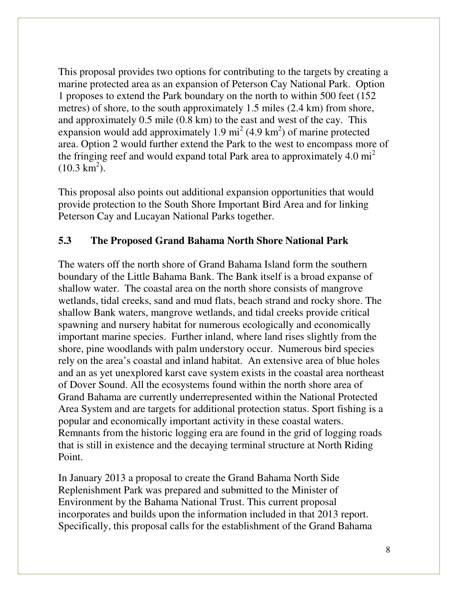This proposal provides two options for contributing to the targets by creating a marine protected area as an expansion of Peterson Cay National Park. Option 1 proposes to extend the Park boundary on the north to within 500 feet (152 metres) of shore, to the south approximately 1.5 miles (2.4 km) from shore, and approximately 0.5 mile (0.8 km) to the east and west of the cay. This expansion would add approximately 1.9  $\text{mi}^2$  (4.9 km<sup>2</sup>) of marine protected area. Option 2 would further extend the Park to the west to encompass more of the fringing reef and would expand total Park area to approximately 4.0  $mi^2$  $(10.3 \text{ km}^2)$ .

This proposal also points out additional expansion opportunities that would provide protection to the South Shore Important Bird Area and for linking Peterson Cay and Lucayan National Parks together.

#### **5.3 The Proposed Grand Bahama North Shore National Park**

The waters off the north shore of Grand Bahama Island form the southern boundary of the Little Bahama Bank. The Bank itself is a broad expanse of shallow water. The coastal area on the north shore consists of mangrove wetlands, tidal creeks, sand and mud flats, beach strand and rocky shore. The shallow Bank waters, mangrove wetlands, and tidal creeks provide critical spawning and nursery habitat for numerous ecologically and economically important marine species. Further inland, where land rises slightly from the shore, pine woodlands with palm understory occur. Numerous bird species rely on the area's coastal and inland habitat. An extensive area of blue holes and an as yet unexplored karst cave system exists in the coastal area northeast of Dover Sound. All the ecosystems found within the north shore area of Grand Bahama are currently underrepresented within the National Protected Area System and are targets for additional protection status. Sport fishing is a popular and economically important activity in these coastal waters. Remnants from the historic logging era are found in the grid of logging roads that is still in existence and the decaying terminal structure at North Riding Point.

In January 2013 a proposal to create the Grand Bahama North Side Replenishment Park was prepared and submitted to the Minister of Environment by the Bahama National Trust. This current proposal incorporates and builds upon the information included in that 2013 report. Specifically, this proposal calls for the establishment of the Grand Bahama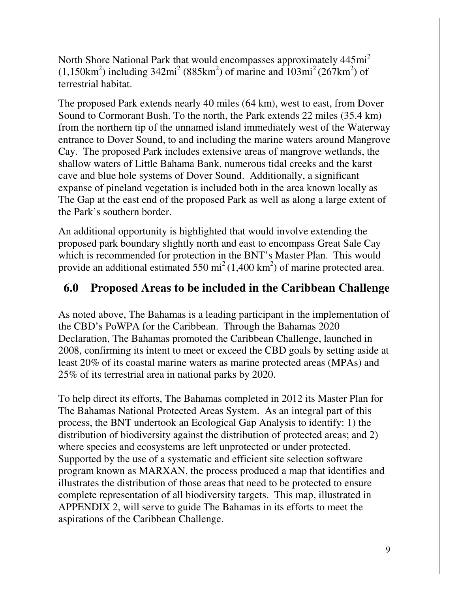North Shore National Park that would encompasses approximately 445mi<sup>2</sup>  $(1,150 \text{km}^2)$  including  $342 \text{mi}^2 (885 \text{km}^2)$  of marine and  $103 \text{mi}^2 (267 \text{km}^2)$  of terrestrial habitat.

The proposed Park extends nearly 40 miles (64 km), west to east, from Dover Sound to Cormorant Bush. To the north, the Park extends 22 miles (35.4 km) from the northern tip of the unnamed island immediately west of the Waterway entrance to Dover Sound, to and including the marine waters around Mangrove Cay. The proposed Park includes extensive areas of mangrove wetlands, the shallow waters of Little Bahama Bank, numerous tidal creeks and the karst cave and blue hole systems of Dover Sound. Additionally, a significant expanse of pineland vegetation is included both in the area known locally as The Gap at the east end of the proposed Park as well as along a large extent of the Park's southern border.

An additional opportunity is highlighted that would involve extending the proposed park boundary slightly north and east to encompass Great Sale Cay which is recommended for protection in the BNT's Master Plan. This would provide an additional estimated 550 mi<sup>2</sup> (1,400 km<sup>2</sup>) of marine protected area.

#### **6.0 Proposed Areas to be included in the Caribbean Challenge**

As noted above, The Bahamas is a leading participant in the implementation of the CBD's PoWPA for the Caribbean. Through the Bahamas 2020 Declaration, The Bahamas promoted the Caribbean Challenge, launched in 2008, confirming its intent to meet or exceed the CBD goals by setting aside at least 20% of its coastal marine waters as marine protected areas (MPAs) and 25% of its terrestrial area in national parks by 2020.

To help direct its efforts, The Bahamas completed in 2012 its Master Plan for The Bahamas National Protected Areas System. As an integral part of this process, the BNT undertook an Ecological Gap Analysis to identify: 1) the distribution of biodiversity against the distribution of protected areas; and 2) where species and ecosystems are left unprotected or under protected. Supported by the use of a systematic and efficient site selection software program known as MARXAN, the process produced a map that identifies and illustrates the distribution of those areas that need to be protected to ensure complete representation of all biodiversity targets. This map, illustrated in APPENDIX 2, will serve to guide The Bahamas in its efforts to meet the aspirations of the Caribbean Challenge.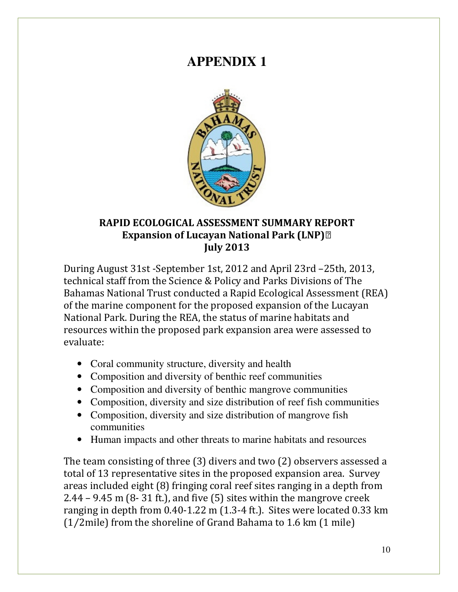# **APPENDIX 1**



#### RAPID ECOLOGICAL ASSESSMENT SUMMARY REPORT Expansion of Lucayan National Park (LNP)
July 2013

During August 31st -September 1st, 2012 and April 23rd –25th, 2013, technical staff from the Science & Policy and Parks Divisions of The Bahamas National Trust conducted a Rapid Ecological Assessment (REA) of the marine component for the proposed expansion of the Lucayan National Park. During the REA, the status of marine habitats and resources within the proposed park expansion area were assessed to evaluate:

- Coral community structure, diversity and health
- Composition and diversity of benthic reef communities
- Composition and diversity of benthic mangrove communities
- Composition, diversity and size distribution of reef fish communities
- Composition, diversity and size distribution of mangrove fish communities
- Human impacts and other threats to marine habitats and resources

The team consisting of three (3) divers and two (2) observers assessed a total of 13 representative sites in the proposed expansion area. Survey areas included eight (8) fringing coral reef sites ranging in a depth from 2.44 – 9.45 m  $(8-31 \text{ ft.})$ , and five  $(5)$  sites within the mangrove creek ranging in depth from 0.40-1.22 m (1.3-4 ft.). Sites were located 0.33 km (1⁄2mile) from the shoreline of Grand Bahama to 1.6 km (1 mile)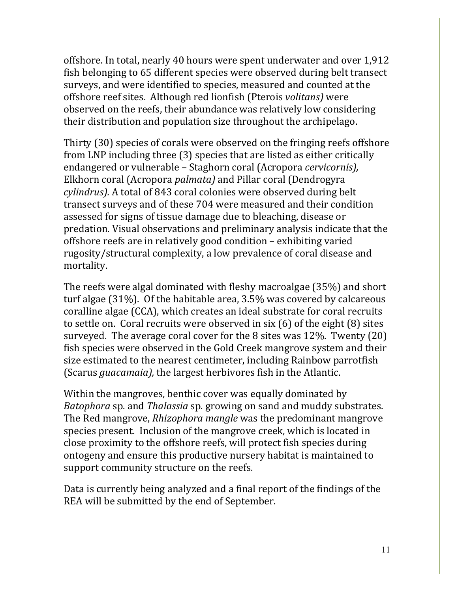offshore. In total, nearly 40 hours were spent underwater and over 1,912 fish belonging to 65 different species were observed during belt transect surveys, and were identified to species, measured and counted at the offshore reef sites. Although red lionfish (Pterois volitans) were observed on the reefs, their abundance was relatively low considering their distribution and population size throughout the archipelago.

Thirty (30) species of corals were observed on the fringing reefs offshore from LNP including three (3) species that are listed as either critically endangered or vulnerable – Staghorn coral (Acropora cervicornis), Elkhorn coral (Acropora palmata) and Pillar coral (Dendrogyra cylindrus). A total of 843 coral colonies were observed during belt transect surveys and of these 704 were measured and their condition assessed for signs of tissue damage due to bleaching, disease or predation. Visual observations and preliminary analysis indicate that the offshore reefs are in relatively good condition – exhibiting varied rugosity/structural complexity, a low prevalence of coral disease and mortality.

The reefs were algal dominated with fleshy macroalgae (35%) and short turf algae (31%). Of the habitable area, 3.5% was covered by calcareous coralline algae (CCA), which creates an ideal substrate for coral recruits to settle on. Coral recruits were observed in six (6) of the eight (8) sites surveyed. The average coral cover for the 8 sites was 12%. Twenty (20) fish species were observed in the Gold Creek mangrove system and their size estimated to the nearest centimeter, including Rainbow parrotfish (Scarus guacamaia), the largest herbivores fish in the Atlantic.

Within the mangroves, benthic cover was equally dominated by Batophora sp. and Thalassia sp. growing on sand and muddy substrates. The Red mangrove, Rhizophora mangle was the predominant mangrove species present. Inclusion of the mangrove creek, which is located in close proximity to the offshore reefs, will protect fish species during ontogeny and ensure this productive nursery habitat is maintained to support community structure on the reefs.

Data is currently being analyzed and a final report of the findings of the REA will be submitted by the end of September.